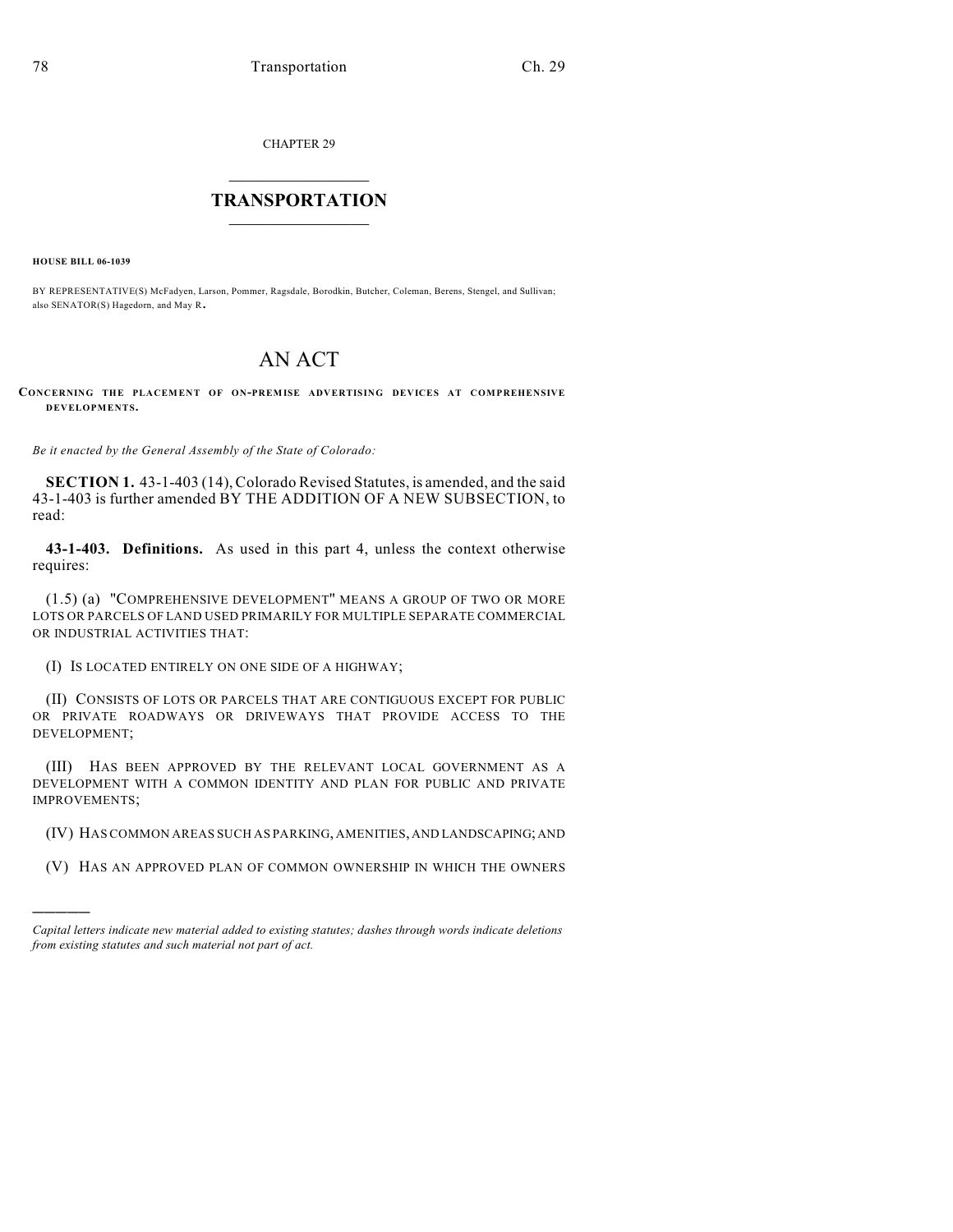CHAPTER 29

## $\overline{\phantom{a}}$  . The set of the set of the set of the set of the set of the set of the set of the set of the set of the set of the set of the set of the set of the set of the set of the set of the set of the set of the set o **TRANSPORTATION**  $\_$   $\_$   $\_$   $\_$   $\_$   $\_$   $\_$   $\_$   $\_$

**HOUSE BILL 06-1039**

)))))

BY REPRESENTATIVE(S) McFadyen, Larson, Pommer, Ragsdale, Borodkin, Butcher, Coleman, Berens, Stengel, and Sullivan; also SENATOR(S) Hagedorn, and May R.

## AN ACT

**CONCERNING THE PLACEMENT OF ON-PREMISE ADVERTISING DEVICES AT COMPREHENSIVE DEVELOPMENTS.**

*Be it enacted by the General Assembly of the State of Colorado:*

**SECTION 1.** 43-1-403 (14), Colorado Revised Statutes, is amended, and the said 43-1-403 is further amended BY THE ADDITION OF A NEW SUBSECTION, to read:

**43-1-403. Definitions.** As used in this part 4, unless the context otherwise requires:

(1.5) (a) "COMPREHENSIVE DEVELOPMENT" MEANS A GROUP OF TWO OR MORE LOTS OR PARCELS OF LAND USED PRIMARILY FOR MULTIPLE SEPARATE COMMERCIAL OR INDUSTRIAL ACTIVITIES THAT:

(I) IS LOCATED ENTIRELY ON ONE SIDE OF A HIGHWAY;

(II) CONSISTS OF LOTS OR PARCELS THAT ARE CONTIGUOUS EXCEPT FOR PUBLIC OR PRIVATE ROADWAYS OR DRIVEWAYS THAT PROVIDE ACCESS TO THE DEVELOPMENT;

(III) HAS BEEN APPROVED BY THE RELEVANT LOCAL GOVERNMENT AS A DEVELOPMENT WITH A COMMON IDENTITY AND PLAN FOR PUBLIC AND PRIVATE IMPROVEMENTS;

- (IV) HAS COMMON AREAS SUCH AS PARKING, AMENITIES, AND LANDSCAPING; AND
- (V) HAS AN APPROVED PLAN OF COMMON OWNERSHIP IN WHICH THE OWNERS

*Capital letters indicate new material added to existing statutes; dashes through words indicate deletions from existing statutes and such material not part of act.*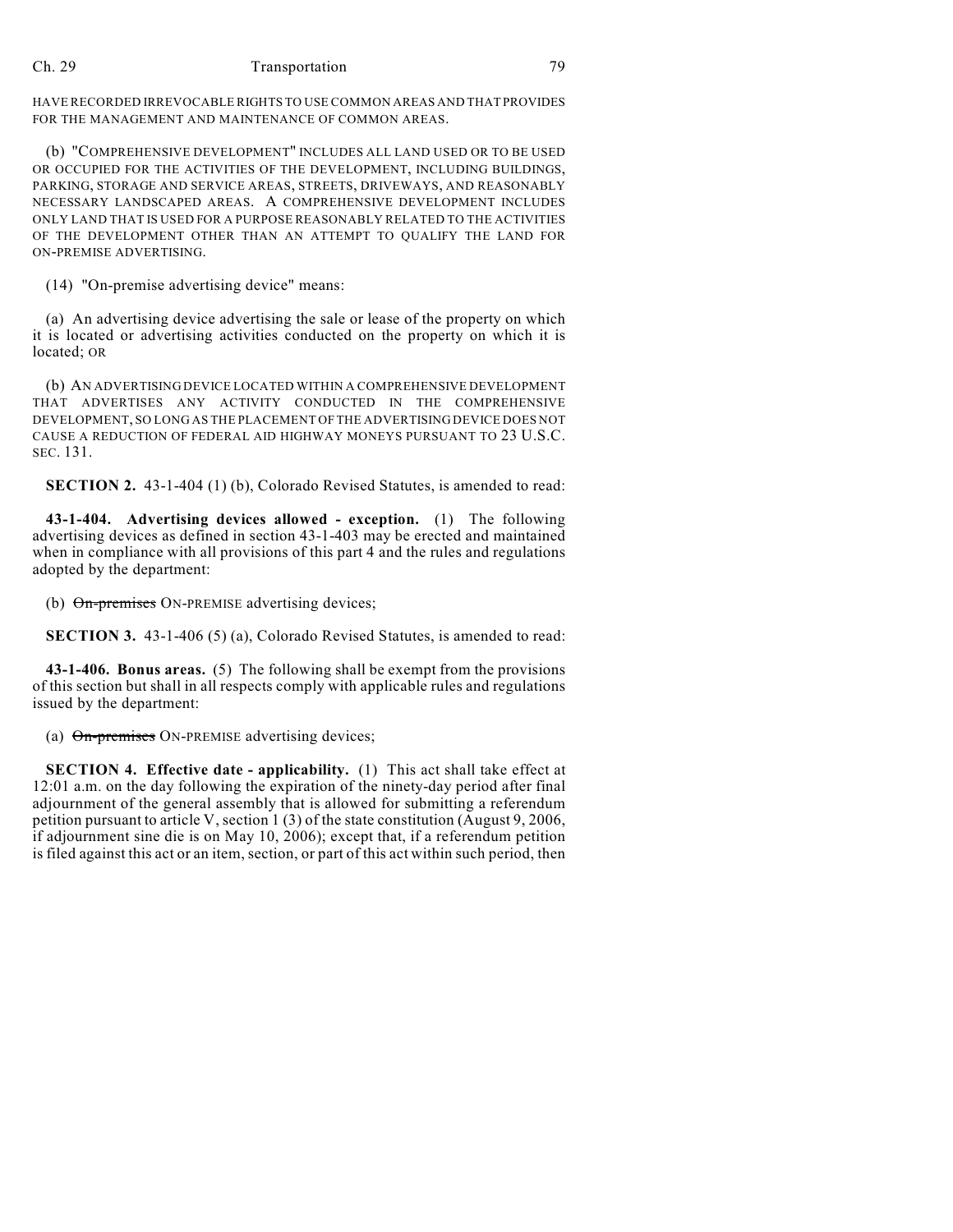## Ch. 29 Transportation 79

HAVE RECORDED IRREVOCABLE RIGHTS TO USE COMMON AREAS AND THAT PROVIDES FOR THE MANAGEMENT AND MAINTENANCE OF COMMON AREAS.

(b) "COMPREHENSIVE DEVELOPMENT" INCLUDES ALL LAND USED OR TO BE USED OR OCCUPIED FOR THE ACTIVITIES OF THE DEVELOPMENT, INCLUDING BUILDINGS, PARKING, STORAGE AND SERVICE AREAS, STREETS, DRIVEWAYS, AND REASONABLY NECESSARY LANDSCAPED AREAS. A COMPREHENSIVE DEVELOPMENT INCLUDES ONLY LAND THAT IS USED FOR A PURPOSE REASONABLY RELATED TO THE ACTIVITIES OF THE DEVELOPMENT OTHER THAN AN ATTEMPT TO QUALIFY THE LAND FOR ON-PREMISE ADVERTISING.

(14) "On-premise advertising device" means:

(a) An advertising device advertising the sale or lease of the property on which it is located or advertising activities conducted on the property on which it is located; OR

(b) AN ADVERTISING DEVICE LOCATED WITHIN A COMPREHENSIVE DEVELOPMENT THAT ADVERTISES ANY ACTIVITY CONDUCTED IN THE COMPREHENSIVE DEVELOPMENT, SO LONG AS THE PLACEMENT OF THE ADVERTISING DEVICE DOES NOT CAUSE A REDUCTION OF FEDERAL AID HIGHWAY MONEYS PURSUANT TO 23 U.S.C. SEC. 131.

**SECTION 2.** 43-1-404 (1) (b), Colorado Revised Statutes, is amended to read:

**43-1-404. Advertising devices allowed - exception.** (1) The following advertising devices as defined in section 43-1-403 may be erected and maintained when in compliance with all provisions of this part 4 and the rules and regulations adopted by the department:

(b) On-premises ON-PREMISE advertising devices;

**SECTION 3.** 43-1-406 (5) (a), Colorado Revised Statutes, is amended to read:

**43-1-406. Bonus areas.** (5) The following shall be exempt from the provisions of this section but shall in all respects comply with applicable rules and regulations issued by the department:

(a) On-premises ON-PREMISE advertising devices;

**SECTION 4. Effective date - applicability.** (1) This act shall take effect at 12:01 a.m. on the day following the expiration of the ninety-day period after final adjournment of the general assembly that is allowed for submitting a referendum petition pursuant to article V, section 1 (3) of the state constitution (August 9, 2006, if adjournment sine die is on May 10, 2006); except that, if a referendum petition is filed against this act or an item, section, or part of this act within such period, then